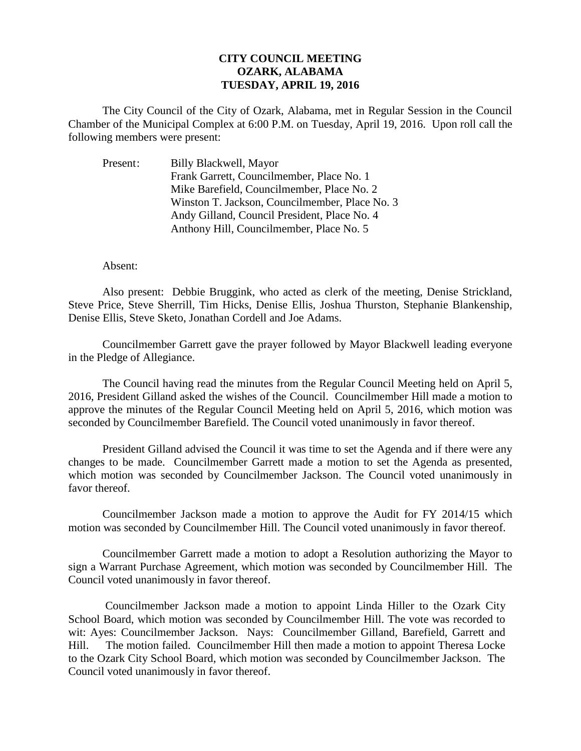## **CITY COUNCIL MEETING OZARK, ALABAMA TUESDAY, APRIL 19, 2016**

The City Council of the City of Ozark, Alabama, met in Regular Session in the Council Chamber of the Municipal Complex at 6:00 P.M. on Tuesday, April 19, 2016. Upon roll call the following members were present:

Present: Billy Blackwell, Mayor Frank Garrett, Councilmember, Place No. 1 Mike Barefield, Councilmember, Place No. 2 Winston T. Jackson, Councilmember, Place No. 3 Andy Gilland, Council President, Place No. 4 Anthony Hill, Councilmember, Place No. 5

## Absent:

Also present: Debbie Bruggink, who acted as clerk of the meeting, Denise Strickland, Steve Price, Steve Sherrill, Tim Hicks, Denise Ellis, Joshua Thurston, Stephanie Blankenship, Denise Ellis, Steve Sketo, Jonathan Cordell and Joe Adams.

Councilmember Garrett gave the prayer followed by Mayor Blackwell leading everyone in the Pledge of Allegiance.

The Council having read the minutes from the Regular Council Meeting held on April 5, 2016, President Gilland asked the wishes of the Council. Councilmember Hill made a motion to approve the minutes of the Regular Council Meeting held on April 5, 2016, which motion was seconded by Councilmember Barefield. The Council voted unanimously in favor thereof.

President Gilland advised the Council it was time to set the Agenda and if there were any changes to be made. Councilmember Garrett made a motion to set the Agenda as presented, which motion was seconded by Councilmember Jackson. The Council voted unanimously in favor thereof.

Councilmember Jackson made a motion to approve the Audit for FY 2014/15 which motion was seconded by Councilmember Hill. The Council voted unanimously in favor thereof.

Councilmember Garrett made a motion to adopt a Resolution authorizing the Mayor to sign a Warrant Purchase Agreement, which motion was seconded by Councilmember Hill. The Council voted unanimously in favor thereof.

 Councilmember Jackson made a motion to appoint Linda Hiller to the Ozark City School Board, which motion was seconded by Councilmember Hill. The vote was recorded to wit: Ayes: Councilmember Jackson. Nays: Councilmember Gilland, Barefield, Garrett and Hill. The motion failed. Councilmember Hill then made a motion to appoint Theresa Locke to the Ozark City School Board, which motion was seconded by Councilmember Jackson. The Council voted unanimously in favor thereof.